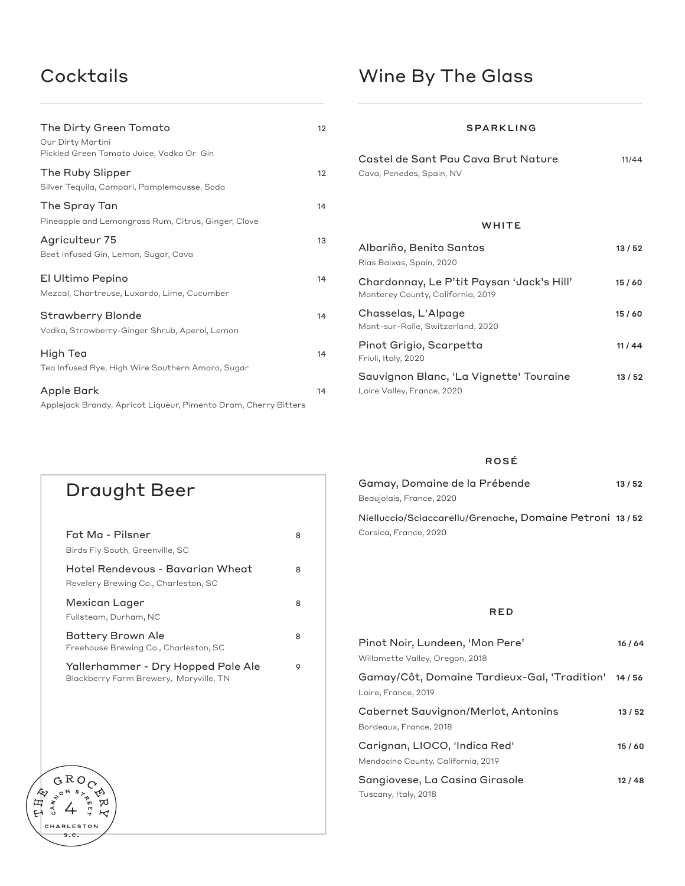### Cocktails

| The Dirty Green Tomato<br>Our Dirty Martini                                                                                       | 12 |                                      |
|-----------------------------------------------------------------------------------------------------------------------------------|----|--------------------------------------|
| Pickled Green Tomato Juice, Vodka Or Gin                                                                                          |    | Castel de Sa                         |
| The Ruby Slipper<br>Silver Tequila, Campari, Pamplemousse, Soda                                                                   | 12 | Cava, Penedes, 9                     |
| The Spray Tan                                                                                                                     | 14 |                                      |
| Pineapple and Lemongrass Rum, Citrus, Ginger, Clove                                                                               |    |                                      |
| Agriculteur 75<br>Beet Infused Gin, Lemon, Sugar, Cava                                                                            | 13 | Albariño, Be<br>Rias Baixas, Spc     |
| El Ultimo Pepino<br>Mezcal, Chartreuse, Luxardo, Lime, Cucumber                                                                   | 14 | Chardonnay<br>Monterey Count         |
| Strawberry Blonde<br>Vodka, Strawberry-Ginger Shrub, Aperol, Lemon                                                                | 14 | Chasselas, L<br>Mont-sur-Rolle,      |
| High Tea                                                                                                                          | 14 | Pinot Grigio,<br>Friuli, Italy, 2020 |
| Tea Infused Rye, High Wire Southern Amaro, Sugar<br>Apple Bark<br>Applejack Brandy, Apricot Liqueur, Pimento Dram, Cherry Bitters | 14 | Sauvignon B<br>Loire Valley, Fra     |
|                                                                                                                                   |    |                                      |

#### SPARKLING

| Castel de Sant Pau Cava Brut Nature | 11/44 |
|-------------------------------------|-------|
| Cava, Penedes, Spain, NV            |       |

#### **WHITE**

| Albariño, Benito Santos<br>Rias Baixas, Spain, 2020                            | 13 / 52 |
|--------------------------------------------------------------------------------|---------|
| Chardonnay, Le P'tit Paysan 'Jack's Hill'<br>Monterey County, California, 2019 | 15/60   |
| Chasselas, L'Alpage<br>Mont-sur-Rolle, Switzerland, 2020                       | 15/60   |
| Pinot Grigio, Scarpetta<br>Friuli, Italy, 2020                                 | 11/44   |
| Sauvignon Blanc, 'La Vignette' Touraine<br>Loire Valley, France, 2020          | 13 / 52 |

#### ROSÉ

| Gamay, Domaine de la Prébende                           | 13 / 52 |
|---------------------------------------------------------|---------|
| Beaujolais, France, 2020                                |         |
| Nielluccio/Sciaccarellu/Grenache, Domaine Petroni 13/52 |         |
| Corsica, France, 2020                                   |         |
|                                                         |         |
|                                                         |         |

#### RED

| Pinot Noir, Lundeen, 'Mon Pere'<br>Willamette Valley, Oregon, 2018        | 16/64 |
|---------------------------------------------------------------------------|-------|
| Gamay/Côt, Domaine Tardieux-Gal, 'Tradition' 14/56<br>Loire, France, 2019 |       |
| Cabernet Sauvignon/Merlot, Antonins<br>Bordeaux, France, 2018             | 13/52 |
| Carignan, LIOCO, 'Indica Red'<br>Mendocino County, California, 2019       | 15/60 |
| Sangiovese, La Casina Girasole<br>Tuscany, Italy, 2018                    | 12/48 |

# Fat Ma - Pilsner 8 Birds Fly South, Greenville, SC Hotel Rendevous - Bavarian Wheat 8 Revelery Brewing Co., Charleston, SC Mexican Lager 8 Fullsteam, Durham, NC Battery Brown Ale 8 Freehouse Brewing Co., Charleston, SC Yallerhammer - Dry Hopped Pale Ale 9 Blackberry Farm Brewery, Maryville, TN Draught Beer

GROC  $G R O Q$ <br> $G R O Q$ <br> $G R O Q$ 

CHARLESTON  $s.c.$ 

⇖

ヷ  $\overline{\mathcal{K}}$ 

《母子》

CAN<sub>N</sub>